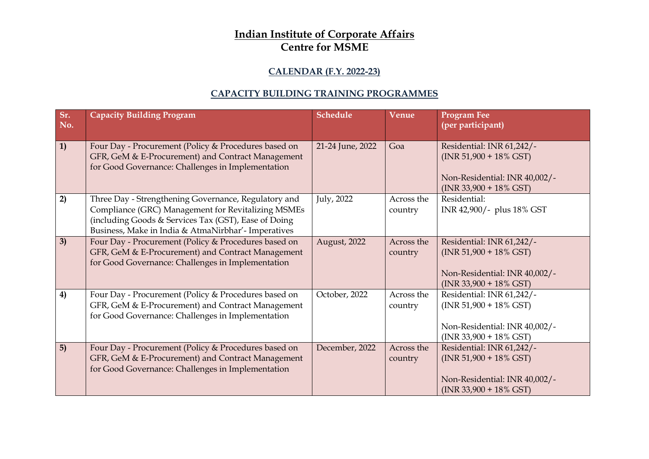## **Indian Institute of Corporate Affairs Centre for MSME**

## **CALENDAR (F.Y. 2022-23)**

## **CAPACITY BUILDING TRAINING PROGRAMMES**

| Sr.<br>No. | <b>Capacity Building Program</b>                                                                                                                                                                                          | <b>Schedule</b>  | Venue                 | <b>Program Fee</b><br>(per participant)                                                                              |
|------------|---------------------------------------------------------------------------------------------------------------------------------------------------------------------------------------------------------------------------|------------------|-----------------------|----------------------------------------------------------------------------------------------------------------------|
| 1)         | Four Day - Procurement (Policy & Procedures based on<br>GFR, GeM & E-Procurement) and Contract Management<br>for Good Governance: Challenges in Implementation                                                            | 21-24 June, 2022 | Goa                   | Residential: INR 61,242/-<br>$(INR 51,900 + 18\% GST)$<br>Non-Residential: INR 40,002/-<br>$(INR 33,900 + 18\% GST)$ |
| 2)         | Three Day - Strengthening Governance, Regulatory and<br>Compliance (GRC) Management for Revitalizing MSMEs<br>(including Goods & Services Tax (GST), Ease of Doing<br>Business, Make in India & AtmaNirbhar'- Imperatives | July, 2022       | Across the<br>country | Residential:<br>INR 42,900/- plus 18% GST                                                                            |
| 3)         | Four Day - Procurement (Policy & Procedures based on<br>GFR, GeM & E-Procurement) and Contract Management<br>for Good Governance: Challenges in Implementation                                                            | August, 2022     | Across the<br>country | Residential: INR 61,242/-<br>$(INR 51,900 + 18\% GST)$<br>Non-Residential: INR 40,002/-<br>$(INR 33,900 + 18\% GST)$ |
| 4)         | Four Day - Procurement (Policy & Procedures based on<br>GFR, GeM & E-Procurement) and Contract Management<br>for Good Governance: Challenges in Implementation                                                            | October, 2022    | Across the<br>country | Residential: INR 61,242/-<br>$(INR 51,900 + 18\% GST)$<br>Non-Residential: INR 40,002/-<br>$(INR 33,900 + 18\% GST)$ |
| 5)         | Four Day - Procurement (Policy & Procedures based on<br>GFR, GeM & E-Procurement) and Contract Management<br>for Good Governance: Challenges in Implementation                                                            | December, 2022   | Across the<br>country | Residential: INR 61,242/-<br>$(INR 51,900 + 18\% GST)$<br>Non-Residential: INR 40,002/-<br>$(INR 33,900 + 18\% GST)$ |